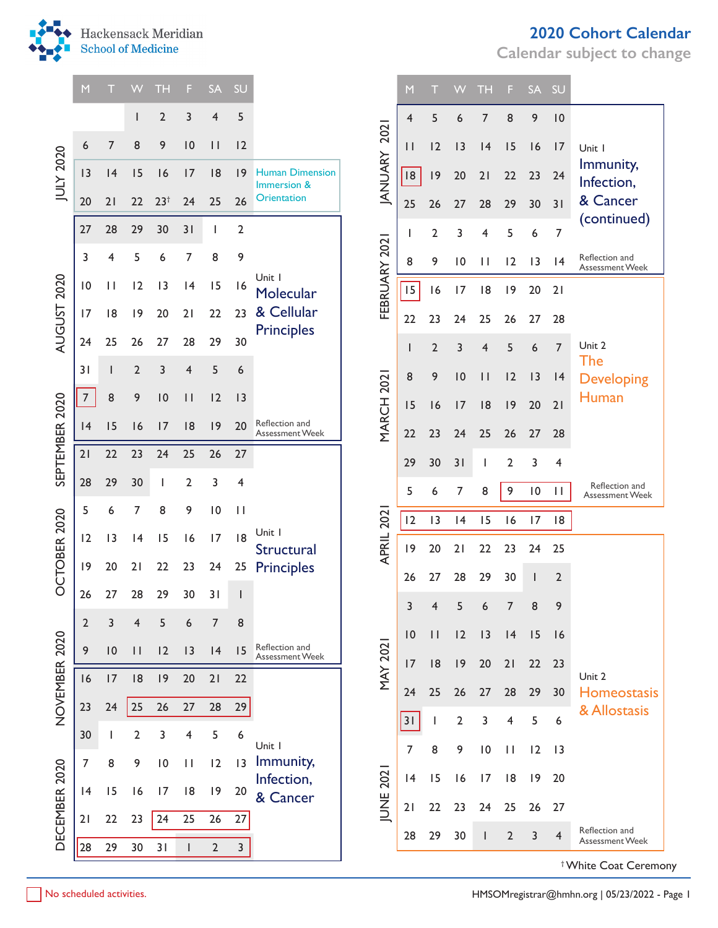

|                  | M                | П            | W              | TН             | F                       | <b>SA</b>       | SU             |                                          | <b>SA</b><br>SU<br>TН<br>M<br>W<br>F.<br>9<br>10<br>5<br>8<br>7<br>4<br>6<br>2021<br>12<br> 3<br>15<br>16<br>17<br>$\mathbf{H}$<br> 4<br>Unit I<br><b>ANUARY</b><br>Immunity,<br> 8 <br> 9<br>20<br>21<br>22<br>23<br>24<br>Infection,<br>& Cancer<br>30<br>25<br>26<br>28<br>29<br>31<br>27<br>(continued)<br>5<br>7<br>2<br>3<br>6<br>4<br>FEBRUARY 2021<br>Reflection and<br>12<br>8<br>9<br>10<br>$\mathbf{H}$<br> 3<br> 4<br>Assessment Week<br>15<br>17<br> 8<br> 9<br>20<br>21<br>16<br>22<br>23<br>25<br>27<br>24<br>26<br>28<br>Unit 2<br>$\overline{7}$<br>2<br>3<br>5<br>6<br>4<br>The<br><b>MARCH 2021</b><br>8<br> 3<br>9<br> 0<br>12<br>$\mathbf{H}$<br> 4<br><b>Developing</b><br>Human<br>21<br> 9<br>20<br>15<br> 8<br>17<br>16<br>22<br>23<br>25<br>26<br>27<br>28<br>24<br>3<br>29<br>31<br>$\overline{2}$<br>30<br>4<br>Reflection and<br>5<br>7<br>9<br>$\overline{10}$<br>8<br>$\mathbf{H}$<br>6<br>Assessment Week<br>202<br>12<br>13<br> 4<br>15<br>16<br>17<br> 8<br><b>APRIL</b><br> 9<br>20<br>23<br>25<br>21<br>22<br>24<br>$\overline{2}$<br>27<br>28<br>29<br>30<br>26<br>ı<br>3<br>$\overline{\mathbf{r}}$<br>5<br>6<br>7<br>8<br>9<br>10<br>12<br>13<br> 4<br>15<br>$\vert \vert$<br>16<br><b>MAY 2021</b><br>17<br> 8<br> 9<br>22<br>20<br>21<br>23<br>Unit 2<br>24<br>25<br>29<br><b>Homeostasis</b><br>26<br>27<br>28<br>30<br>& Allostasis<br>5<br>31<br>$\overline{2}$<br>3<br>$\overline{\mathbf{4}}$<br>6<br>7<br>8<br>9<br>$\overline{10}$<br>12<br> 3<br>$\mathbf{H}$<br><b>IUNE 202</b><br> 9<br>15<br> 8<br>20<br> 4<br>16<br>17<br>21<br>25<br>26<br>27<br>22<br>23<br>24<br>Reflection and |    |    |                |                |                |                                  |
|------------------|------------------|--------------|----------------|----------------|-------------------------|-----------------|----------------|------------------------------------------|-----------------------------------------------------------------------------------------------------------------------------------------------------------------------------------------------------------------------------------------------------------------------------------------------------------------------------------------------------------------------------------------------------------------------------------------------------------------------------------------------------------------------------------------------------------------------------------------------------------------------------------------------------------------------------------------------------------------------------------------------------------------------------------------------------------------------------------------------------------------------------------------------------------------------------------------------------------------------------------------------------------------------------------------------------------------------------------------------------------------------------------------------------------------------------------------------------------------------------------------------------------------------------------------------------------------------------------------------------------------------------------------------------------------------------------------------------------------------------------------------------------------------------------------------------------------------------------------------------------------------------------------|----|----|----------------|----------------|----------------|----------------------------------|
|                  |                  |              | ı              | $\overline{2}$ | 3                       | 4               | 5              |                                          |                                                                                                                                                                                                                                                                                                                                                                                                                                                                                                                                                                                                                                                                                                                                                                                                                                                                                                                                                                                                                                                                                                                                                                                                                                                                                                                                                                                                                                                                                                                                                                                                                                         |    |    |                |                |                |                                  |
|                  | 6                | 7            | 8              | 9              | 10                      | $\vert \vert$   | 12             |                                          |                                                                                                                                                                                                                                                                                                                                                                                                                                                                                                                                                                                                                                                                                                                                                                                                                                                                                                                                                                                                                                                                                                                                                                                                                                                                                                                                                                                                                                                                                                                                                                                                                                         |    |    |                |                |                |                                  |
| <b>JULY 2020</b> | 3                | 4            | 15             | 16             | 17                      | 8               | 9              | <b>Human Dimension</b><br>Immersion &    |                                                                                                                                                                                                                                                                                                                                                                                                                                                                                                                                                                                                                                                                                                                                                                                                                                                                                                                                                                                                                                                                                                                                                                                                                                                                                                                                                                                                                                                                                                                                                                                                                                         |    |    |                |                |                |                                  |
|                  | 20               | 21           | 22             | $23^{+}$       | 24                      | 25              | 26             | <b>Orientation</b>                       |                                                                                                                                                                                                                                                                                                                                                                                                                                                                                                                                                                                                                                                                                                                                                                                                                                                                                                                                                                                                                                                                                                                                                                                                                                                                                                                                                                                                                                                                                                                                                                                                                                         |    |    |                |                |                |                                  |
|                  | 27               | 28           | 29             | 30             | 31                      |                 | $\overline{2}$ |                                          |                                                                                                                                                                                                                                                                                                                                                                                                                                                                                                                                                                                                                                                                                                                                                                                                                                                                                                                                                                                                                                                                                                                                                                                                                                                                                                                                                                                                                                                                                                                                                                                                                                         |    |    |                |                |                |                                  |
|                  | 3                | 4            | 5              | 6              | 7                       | 8               | 9              |                                          |                                                                                                                                                                                                                                                                                                                                                                                                                                                                                                                                                                                                                                                                                                                                                                                                                                                                                                                                                                                                                                                                                                                                                                                                                                                                                                                                                                                                                                                                                                                                                                                                                                         |    |    |                |                |                |                                  |
|                  | $\overline{10}$  | $\mathbf{H}$ | 12             | 13             | 4                       | 15              | 16             | Unit I<br>Molecular                      |                                                                                                                                                                                                                                                                                                                                                                                                                                                                                                                                                                                                                                                                                                                                                                                                                                                                                                                                                                                                                                                                                                                                                                                                                                                                                                                                                                                                                                                                                                                                                                                                                                         |    |    |                |                |                |                                  |
| AUGUST 2020      | 17               | 8            | 9              | 20             | 21                      | 22              | 23             | & Cellular                               |                                                                                                                                                                                                                                                                                                                                                                                                                                                                                                                                                                                                                                                                                                                                                                                                                                                                                                                                                                                                                                                                                                                                                                                                                                                                                                                                                                                                                                                                                                                                                                                                                                         |    |    |                |                |                |                                  |
|                  | 24               | 25           | 26             | 27             | 28                      | 29              | 30             | <b>Principles</b>                        |                                                                                                                                                                                                                                                                                                                                                                                                                                                                                                                                                                                                                                                                                                                                                                                                                                                                                                                                                                                                                                                                                                                                                                                                                                                                                                                                                                                                                                                                                                                                                                                                                                         |    |    |                |                |                |                                  |
|                  | 31               |              | $\overline{2}$ | 3              | 4                       | 5               | 6              |                                          |                                                                                                                                                                                                                                                                                                                                                                                                                                                                                                                                                                                                                                                                                                                                                                                                                                                                                                                                                                                                                                                                                                                                                                                                                                                                                                                                                                                                                                                                                                                                                                                                                                         |    |    |                |                |                |                                  |
|                  | $\boldsymbol{7}$ | 8            | 9              | 10             | $\vert \vert$           | 12              | 3              |                                          |                                                                                                                                                                                                                                                                                                                                                                                                                                                                                                                                                                                                                                                                                                                                                                                                                                                                                                                                                                                                                                                                                                                                                                                                                                                                                                                                                                                                                                                                                                                                                                                                                                         |    |    |                |                |                |                                  |
| SEPTEMBER 2020   | 4                | 15           | 16             | 17             | 8                       | 9               | 20             | Reflection and<br><b>Assessment Week</b> |                                                                                                                                                                                                                                                                                                                                                                                                                                                                                                                                                                                                                                                                                                                                                                                                                                                                                                                                                                                                                                                                                                                                                                                                                                                                                                                                                                                                                                                                                                                                                                                                                                         |    |    |                |                |                |                                  |
|                  | 21               | 22           | 23             | 24             | 25                      | 26              | 27             |                                          |                                                                                                                                                                                                                                                                                                                                                                                                                                                                                                                                                                                                                                                                                                                                                                                                                                                                                                                                                                                                                                                                                                                                                                                                                                                                                                                                                                                                                                                                                                                                                                                                                                         |    |    |                |                |                |                                  |
|                  | 28               | 29           | 30             | $\mathbf{I}$   | $\overline{2}$          | 3               | 4              |                                          |                                                                                                                                                                                                                                                                                                                                                                                                                                                                                                                                                                                                                                                                                                                                                                                                                                                                                                                                                                                                                                                                                                                                                                                                                                                                                                                                                                                                                                                                                                                                                                                                                                         |    |    |                |                |                |                                  |
|                  | 5                | 6            | 7              | 8              | 9                       | $\overline{10}$ | $\mathbf{H}$   |                                          |                                                                                                                                                                                                                                                                                                                                                                                                                                                                                                                                                                                                                                                                                                                                                                                                                                                                                                                                                                                                                                                                                                                                                                                                                                                                                                                                                                                                                                                                                                                                                                                                                                         |    |    |                |                |                |                                  |
| OCTOBER 2020     | 12               | 13           | 4              | 15             | 16                      | 17              | 8              | Unit I                                   |                                                                                                                                                                                                                                                                                                                                                                                                                                                                                                                                                                                                                                                                                                                                                                                                                                                                                                                                                                                                                                                                                                                                                                                                                                                                                                                                                                                                                                                                                                                                                                                                                                         |    |    |                |                |                |                                  |
|                  | 9                | 20           | 21             | 22             | 23                      | 24              | 25             | Structural<br><b>Principles</b>          |                                                                                                                                                                                                                                                                                                                                                                                                                                                                                                                                                                                                                                                                                                                                                                                                                                                                                                                                                                                                                                                                                                                                                                                                                                                                                                                                                                                                                                                                                                                                                                                                                                         |    |    |                |                |                |                                  |
|                  | 26               | 27           | 28             | 29             | 30                      | 31              | $\mathsf{l}$   |                                          |                                                                                                                                                                                                                                                                                                                                                                                                                                                                                                                                                                                                                                                                                                                                                                                                                                                                                                                                                                                                                                                                                                                                                                                                                                                                                                                                                                                                                                                                                                                                                                                                                                         |    |    |                |                |                |                                  |
|                  | $\overline{2}$   | 3            | $\overline{4}$ | 5              | 6                       | $\overline{7}$  | 8              |                                          |                                                                                                                                                                                                                                                                                                                                                                                                                                                                                                                                                                                                                                                                                                                                                                                                                                                                                                                                                                                                                                                                                                                                                                                                                                                                                                                                                                                                                                                                                                                                                                                                                                         |    |    |                |                |                |                                  |
|                  | 9                | 10           | $\mathbf{H}$   | 12             | 13                      | 4               | 15             | Reflection and<br><b>Assessment Week</b> |                                                                                                                                                                                                                                                                                                                                                                                                                                                                                                                                                                                                                                                                                                                                                                                                                                                                                                                                                                                                                                                                                                                                                                                                                                                                                                                                                                                                                                                                                                                                                                                                                                         |    |    |                |                |                |                                  |
| NOVEMBER 2020    | 16               | 17           | 8              | 9              | 20                      | 21              | 22             |                                          |                                                                                                                                                                                                                                                                                                                                                                                                                                                                                                                                                                                                                                                                                                                                                                                                                                                                                                                                                                                                                                                                                                                                                                                                                                                                                                                                                                                                                                                                                                                                                                                                                                         |    |    |                |                |                |                                  |
|                  | 23               | 24           | 25             | 26             | 27                      | 28              | 29             |                                          |                                                                                                                                                                                                                                                                                                                                                                                                                                                                                                                                                                                                                                                                                                                                                                                                                                                                                                                                                                                                                                                                                                                                                                                                                                                                                                                                                                                                                                                                                                                                                                                                                                         |    |    |                |                |                |                                  |
|                  | 30               | $\mathbf{I}$ | $\overline{2}$ | 3              | $\overline{\mathbf{4}}$ | 5               | 6              |                                          |                                                                                                                                                                                                                                                                                                                                                                                                                                                                                                                                                                                                                                                                                                                                                                                                                                                                                                                                                                                                                                                                                                                                                                                                                                                                                                                                                                                                                                                                                                                                                                                                                                         |    |    |                |                |                |                                  |
|                  | 7                | 8            | 9              | $\vert 0$      | $\mathbf{H}$            | 12              | 13             | Unit I<br>Immunity,                      |                                                                                                                                                                                                                                                                                                                                                                                                                                                                                                                                                                                                                                                                                                                                                                                                                                                                                                                                                                                                                                                                                                                                                                                                                                                                                                                                                                                                                                                                                                                                                                                                                                         |    |    |                |                |                |                                  |
|                  | 4                | 15           | 16             | 17             | 8                       | 9               | 20             | Infection,<br>& Cancer                   |                                                                                                                                                                                                                                                                                                                                                                                                                                                                                                                                                                                                                                                                                                                                                                                                                                                                                                                                                                                                                                                                                                                                                                                                                                                                                                                                                                                                                                                                                                                                                                                                                                         |    |    |                |                |                |                                  |
| DECEMBER 2020    | 21               | 22           | 23             | 24             | 25                      | 26              | 27             |                                          |                                                                                                                                                                                                                                                                                                                                                                                                                                                                                                                                                                                                                                                                                                                                                                                                                                                                                                                                                                                                                                                                                                                                                                                                                                                                                                                                                                                                                                                                                                                                                                                                                                         |    |    |                |                |                |                                  |
|                  | 28               | 29           | 30             | 31             | $\mathbf{I}$            | $\overline{2}$  | $\overline{3}$ |                                          | 28                                                                                                                                                                                                                                                                                                                                                                                                                                                                                                                                                                                                                                                                                                                                                                                                                                                                                                                                                                                                                                                                                                                                                                                                                                                                                                                                                                                                                                                                                                                                                                                                                                      | 29 | 30 | $\overline{2}$ | $\overline{3}$ | $\overline{4}$ | Assessment Week                  |
|                  |                  |              |                |                |                         |                 |                |                                          |                                                                                                                                                                                                                                                                                                                                                                                                                                                                                                                                                                                                                                                                                                                                                                                                                                                                                                                                                                                                                                                                                                                                                                                                                                                                                                                                                                                                                                                                                                                                                                                                                                         |    |    |                |                |                | <sup>†</sup> White Coat Ceremony |

**Calendar subject to change**

|                | M                       | Т              | W              | <b>TH</b>       | F              | <b>SA</b>       | SU             |                                          |
|----------------|-------------------------|----------------|----------------|-----------------|----------------|-----------------|----------------|------------------------------------------|
|                | $\overline{\mathbf{4}}$ | 5              | 6              | $\overline{7}$  | 8              | 9               | 10             |                                          |
|                | $\mathsf{I}$            | 12             | 3              | 4               | 15             | 16              | 17             | Unit I                                   |
| JANUARY 202    | 18                      | 9              | 20             | 21              | 22             | 23              | 24             | Immunity,<br>Infection,                  |
|                | 25                      | 26             | 27             | 28              | 29             | 30              | 31             | & Cancer                                 |
|                | I                       | $\overline{2}$ | 3              | $\overline{4}$  | 5              | 6               | 7              | (continued)                              |
| FEBRUARY 2021  | 8                       | 9              | $\overline{0}$ | П               | 12             | 3               | 4              | Reflection and<br>Assessment Week        |
|                | 15                      | 16             | 17             | 18              | 9              | 20              | 21             |                                          |
|                | 22                      | 23             | 24             | 25              | 26             | 27              | 28             |                                          |
|                | I                       | $\overline{2}$ | 3              | $\overline{4}$  | 5              | 6               | $\overline{7}$ | Unit 2<br>The                            |
|                | 8                       | 9              | 10             | П               | 12             | 13              | 4              | <b>Developing</b>                        |
| MARCH 202      | 15                      | 16             | 17             | 18              | 9              | 20              | 21             | Human                                    |
|                | 22                      | 23             | 24             | 25              | 26             | 27              | 28             |                                          |
|                | 29                      | 30             | 31             | I               | $\overline{2}$ | 3               | 4              |                                          |
|                | 5                       | 6              | 7              | 8               | 9              | $\overline{10}$ | П              | Reflection and<br><b>Assessment Week</b> |
|                | 12                      | 13             | 4              | 15              | 16             | 17              | 18             |                                          |
| APRIL 202      | 9                       | 20             | 21             | 22              | 23             | 24              | 25             |                                          |
|                | 26                      | 27             | 28             | 29              | 30             | I               | $\overline{2}$ |                                          |
|                | 3                       | $\overline{4}$ | 5              | 6               | 7              | 8               | 9              |                                          |
|                | 10                      | П              | 2              | 3               | 4              | 15              | 16             |                                          |
| <b>MAY 202</b> | 17                      | 18             | 9              | 20              | 21             | 22              | 23             | Unit 2                                   |
|                | 24                      | 25             | 26             | 27              | 28             | 29              | 30             | Homeostasis                              |
|                | 31                      | I              | $\overline{2}$ | 3               | 4              | 5               | 6              | & Allostasis                             |
|                | 7                       | 8              | 9              | $\overline{10}$ | П              | 2               | 3              |                                          |
|                | 4                       | 15             | 16             | 17              | 18             | 19              | 20             |                                          |
| <b>UNE 202</b> | 21                      | 22             | 23             | 24              | 25             | 26              | 27             |                                          |
|                | 28                      | 29             | 30             | I               | $\overline{2}$ | 3               | $\overline{4}$ | Reflection and<br>Assessment Week        |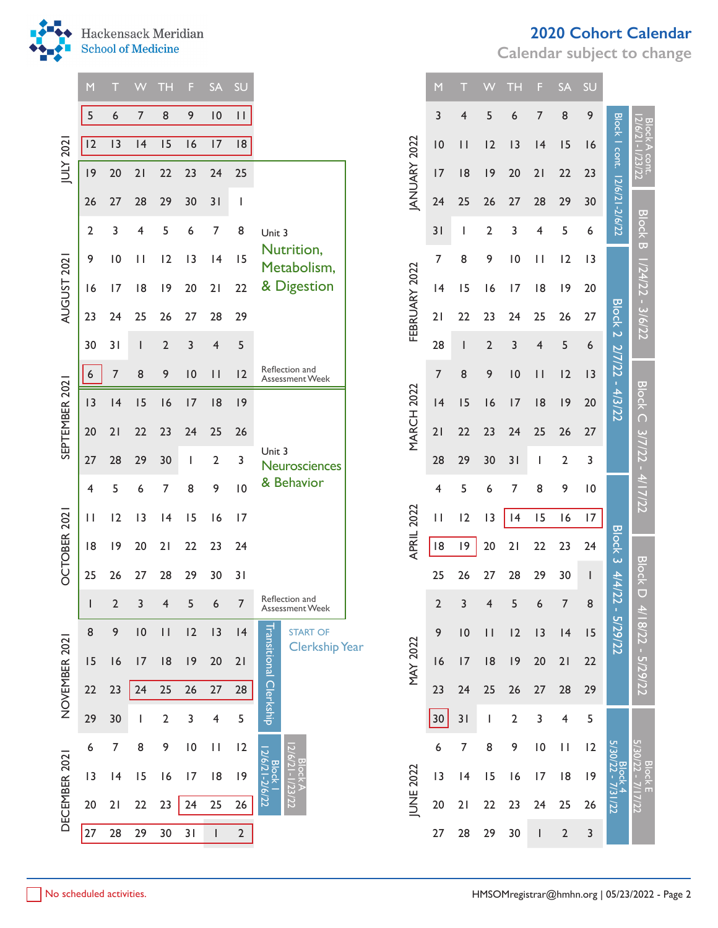

|                | M  |    | W                     | ТH             | F        | <b>SA</b>       | SU              |                                                           |                    | M               | Ш             | W              | ТH             | F               | <b>SA</b>                             | <b>SU</b> |                              |                                 |
|----------------|----|----|-----------------------|----------------|----------|-----------------|-----------------|-----------------------------------------------------------|--------------------|-----------------|---------------|----------------|----------------|-----------------|---------------------------------------|-----------|------------------------------|---------------------------------|
|                | 5  | 6  | $\overline{7}$        | 8              | 9        | $\overline{10}$ | $\mathbf{H}$    |                                                           |                    | 3               | 4             | 5              | 6              | 7               | 8                                     | 9         |                              |                                 |
| JULY 2021      | 12 | 13 | 4                     | 15             | 16       | 17              | 8               |                                                           |                    | 10              | $\vert \vert$ | 12             | 3              | 4               | 15                                    | 16        |                              | Block A cont.<br>2/6/21-1/23/22 |
|                | 9  | 20 | 21                    | 22             | 23       | 24              | 25              |                                                           | <b>ANUARY 2022</b> | 17              | 8             | 9              | 20             | 21              | 22                                    | 23        |                              |                                 |
|                | 26 | 27 | 28                    | 29             | 30       | 31              | J.              |                                                           |                    | 24              | 25            | 26             | 27             | 28              | 29                                    | 30        | Block I cont. 12/6/21-2/6/22 |                                 |
|                | 2  | 3  | 4                     | 5              | 6        | 7               | 8               | Unit 3                                                    |                    | 31              | L             | 2              | 3              | 4               | 5                                     | 6         |                              | <b>Block B</b>                  |
|                | 9  | 10 | $\mathbf{\mathbf{H}}$ | 12             | 13       | 4               | 15              | Nutrition,<br>Metabolism,                                 |                    | 7               | 8             | 9              | 10             | $\mathbf{H}$    | 12                                    | 3         |                              |                                 |
| AUGUST 2021    | 16 | 17 | 8                     | 9              | 20       | 21              | 22              | & Digestion                                               | FEBRUARY 2022      | 4               | 15            | 16             | 17             | 8               | 9                                     | 20        |                              | $1/24/22 - 3/6/22$              |
|                | 23 | 24 | 25                    | 26             | 27       | 28              | 29              |                                                           |                    | 21              | 22            | 23             | 24             | 25              | 26                                    | 27        | <b>Block 2</b>               |                                 |
|                | 30 | 31 |                       | $\overline{2}$ | 3        | 4               | 5               |                                                           |                    | 28              |               | $\overline{2}$ | 3              | 4               | 5                                     | 6         |                              |                                 |
|                | 6  | 7  | 8                     | 9              | 10       | $\vert \vert$   | 12              | Reflection and<br>Assessment Week                         |                    | 7               | 8             | 9              | 10             | $\vert \vert$   | 12                                    | 3         | 2/7/22 - 4/3/22              |                                 |
| SEPTEMBER 2021 | 3  | 4  | 15                    | 16             | 17       | 8               | 9               |                                                           | <b>MARCH 2022</b>  | 4               | 15            | 16             | 17             | 8               | 9                                     | 20        |                              | <b>Block C</b>                  |
|                | 20 | 21 | 22                    | 23             | 24       | 25              | 26              |                                                           |                    | 21              | 22            | 23             | 24             | 25              | 26                                    | 27        |                              |                                 |
|                | 27 | 28 | 29                    | 30             | <b>I</b> | $\overline{2}$  | 3               | Unit 3<br>Neurosciences                                   |                    | 28              | 29            | 30             | 31             |                 | 2                                     | 3         |                              |                                 |
|                | 4  | 5  | 6                     | 7              | 8        | 9               | $\overline{10}$ | & Behavior                                                |                    | 4               | 5             | 6              | 7              | 8               | 9                                     | 0         |                              | $3/7/22 - 4/17/22$              |
|                | П  | 12 | 3                     | 4              | 15       | 16              | 17              |                                                           | APRIL 2022         | $\mathbf{I}$    | 12            | 13             | 4              | 15              | 16                                    | 17        |                              |                                 |
| OCTOBER 2021   | 8  | 9  | 20                    | 21             | 22       | 23              | 24              |                                                           |                    | 8               | 9             | 20             | 21             | 22              | 23                                    | 24        | <b>Block 3</b>               |                                 |
|                | 25 | 26 | 27                    | 28             | 29       | 30              | 31              |                                                           |                    | 25              | 26            | 27             | 28             | 29              | 30                                    |           | 4/4/2                        | <b>Block D</b>                  |
|                |    | 2  | 3                     | $\overline{4}$ | 5        | 6               |                 | Reflection and<br>Assessment Week                         |                    | 2               | 3             | 4              | 5              | 6               | 7                                     | 8         | N                            |                                 |
|                | 8  | 9  | 10                    | $\mathbf{H}$   | 12       | 3               | 4               | <b>START OF</b>                                           |                    | 9               | 10            | $\mathbf{H}$   | 12             | 13              | 4                                     | 15        | - 5/29/22                    | 4/18/22 - 5/29/22               |
|                | 15 | 16 | 17                    | 18             | 9        | 20              | 21              | Transitional<br><b>Clerkship Year</b>                     | <b>MAY 2022</b>    | 16              | 17            | 8              | 9              | 20              | 21                                    | 22        |                              |                                 |
| NOVEMBER 2021  | 22 | 23 | 24                    | 25             | 26       | 27              | 28              |                                                           |                    | 23              | 24            | 25             | 26             | 27              | 28                                    | 29        |                              |                                 |
|                | 29 | 30 |                       | $\overline{2}$ | 3        | 4               | 5               | Clerkship                                                 |                    | 30 <sub>o</sub> | 31            | L              | $\overline{2}$ | 3               | 4                                     | 5         |                              |                                 |
|                | 6  | 7  | 8                     | 9              | 10       | $\mathbf{H}$    | 12              |                                                           |                    | 6               | 7             | 8              | 9              | $\overline{10}$ | $\begin{array}{c} \hline \end{array}$ | 12        |                              |                                 |
| DECEMBER 2021  | 3  | 4  | 15                    | 16             | 17       | 8               | 9               | $12/6/21-2$<br>  Block A<br> 6/21-1/23/22<br><b>Block</b> |                    | 3               | 4             | 15             | 16             | 17              | 8                                     | 9         | Block 4<br>5/30/22 - 7/31    | Block E<br>5/30/22 - 7/17/22    |
|                | 20 | 21 | 22                    | 23             | 24       | 25              | 26              | $\frac{16}{22}$                                           | JUNE 2022          | 20              | 21            | 22             | 23             | 24              | 25                                    | 26        | 1/22                         |                                 |
|                | 27 | 28 | 29                    | 30             | 31       |                 | $\overline{2}$  |                                                           |                    | 27              | 28            | 29             | 30             |                 | $\overline{2}$                        | 3         |                              |                                 |

**Calendar subject to change**

|                    | M               | Т                        |                          | TН              | F                        | <b>SA</b>               | SU              |                          |                   |
|--------------------|-----------------|--------------------------|--------------------------|-----------------|--------------------------|-------------------------|-----------------|--------------------------|-------------------|
|                    | 3               | 4                        | 5                        | 6               | 7                        | 8                       | 9               | <b>Block</b>             |                   |
|                    | 10              | П                        | 2                        | 3               | 4                        | 15                      | 16              |                          |                   |
| <b>ANUARY 2022</b> | 17              | 18                       | 9                        | 20              | $\overline{2}$           | 22                      | 23              |                          |                   |
|                    | 24              | 25                       | 26                       | 27              | 28                       | 29                      | 30              | cont. 12/6/21-2/6/22     |                   |
|                    | 31              | I                        | $\overline{2}$           | 3               | 4                        | 5                       | 6               |                          | Block B           |
|                    | 7               | 8                        | 9                        | 10              | П                        | 2                       | 13              |                          | 174               |
|                    | 4               | 15                       | 16                       | 17              | 18                       | 19                      | 20              |                          |                   |
| FEBRUARY 2022      | 21              | 22                       | 23                       | 24              | 25                       | 26                      | 27              |                          |                   |
|                    | 28              | $\overline{\phantom{a}}$ | $\overline{2}$           | 3               | 4                        | 5                       | 6               | Block 2 2/7/22 - 4/3/22  |                   |
|                    | 7               | 8                        | 9                        | $\overline{10}$ | $\vert \ \vert$          | 2                       | 3               |                          |                   |
| <b>MARCH 2022</b>  | 4               | 15                       | 16                       | 7               | 8                        | 19                      | 20              |                          | Block C           |
|                    | 21              | 22                       | 23                       | 24              | 25                       | 26                      | 27              |                          |                   |
|                    | 28              | 29                       | 30                       | 31              | I                        | $\overline{2}$          | 3               |                          |                   |
|                    | 4               | 5                        | 6                        | 7               | 8                        | 9                       | $\overline{10}$ |                          | 3/7/22 - 4/17/22  |
|                    | П               | 2                        | 3                        | 4               | 15                       | $\overline{6}$          | $\overline{17}$ |                          |                   |
| APRIL 2022         | 18              | 19                       | 20                       | 21              | 22                       | 23                      | 24              | Block 3 4/4/22 - 5/29/22 |                   |
|                    | 25              | 26                       | 27                       | 28              | 29                       | 30                      | I               |                          | <b>Block</b>      |
|                    | $\overline{c}$  | 3                        | $\overline{\mathcal{A}}$ | 5               | 6                        | 7                       | 8               |                          |                   |
|                    | 9               | $\overline{10}$          | $\vert \ \vert$          | 2               | 3                        | 4                       | 15              |                          |                   |
| <b>MAY 2022</b>    | 16              | 7                        | 8                        | 9               | 20                       | 21                      | 22              |                          | 4/18/22 - 5/29/22 |
|                    | 2 <sub>3</sub>  | 24                       | 25                       | 26              | 27                       | 28                      | 29              |                          |                   |
|                    | 30              | 31                       | $\mathsf I$              | $\overline{2}$  | 3                        | $\overline{\mathbf{4}}$ | 5               |                          |                   |
|                    | 6               | $\overline{7}$           | 8                        | 9               | $\overline{10}$          | П                       | $\overline{2}$  |                          |                   |
|                    | $\overline{13}$ | 4                        | 15                       | 6               | 7                        | 18                      | 19              | 5/30/22 - 7/31/22        | Block E           |
| JUNE 2022          | 20              | 21                       | 22                       | 23              | 24                       | 25                      | 26              |                          |                   |
|                    | 27              | 28                       | 29                       | 30              | $\overline{\phantom{a}}$ | $\overline{c}$          | 3               |                          |                   |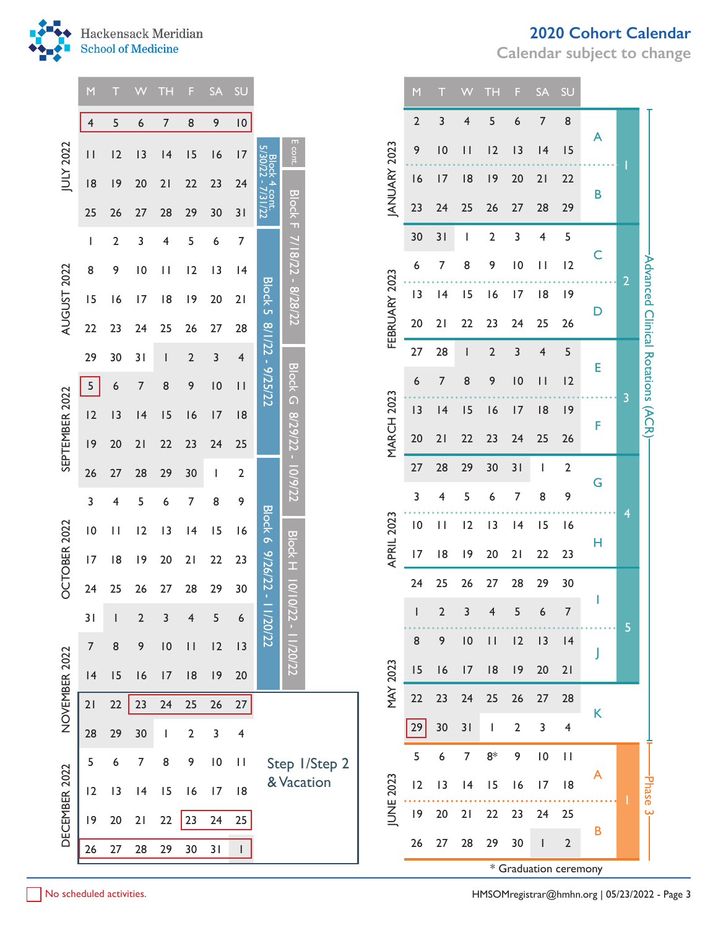**Calendar subject to change**